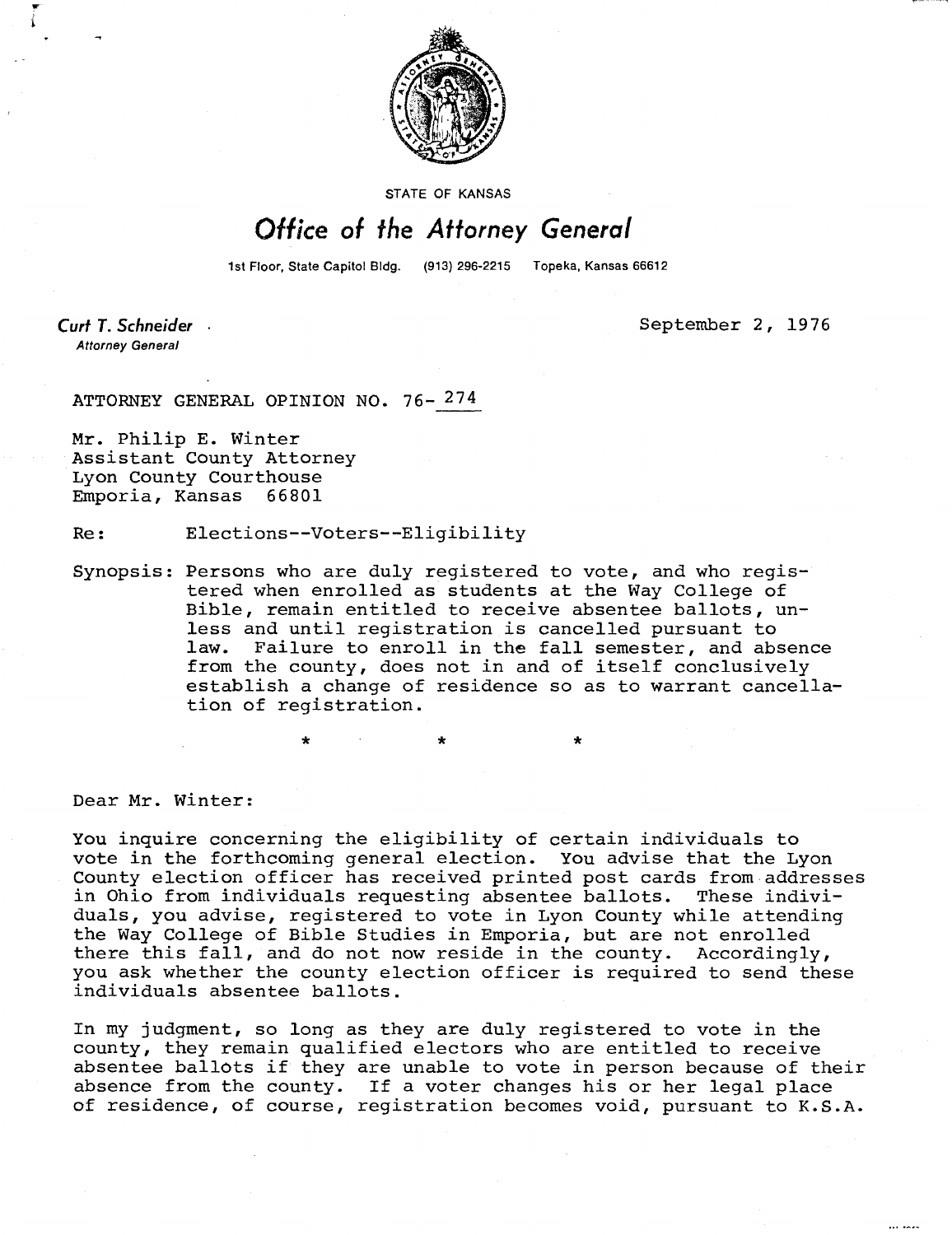

STATE OF KANSAS

## Office of the Attorney General

1st Floor, State Capitol Bldg. (913) 296-2215 Topeka, Kansas 66612

Curt T. Schneider **Attorney General** 

September 2, 1976

ATTORNEY GENERAL OPINION NO. 76- 274

Mr. Philip E. Winter Assistant County Attorney Lyon County Courthouse Emporia, Kansas 66801

Re: Elections--Voters--Eligibility

\*

Synopsis: Persons who are duly registered to vote, and who registered when enrolled as students at the Way College of Bible, remain entitled to receive absentee ballots, unless and until registration is cancelled pursuant to law. Failure to enroll in the fall semester, and absence from the county, does not in and of itself conclusively establish a change of residence so as to warrant cancellation of registration.

Dear Mr. Winter:

You inquire concerning the eligibility of certain individuals to vote in the forthcoming general election. You advise that the Lyon County election officer has received printed post cards from addresses<br>in Ohio from individuals requesting absentee ballots. These indiviin Ohio from individuals requesting absentee ballots. duals, you advise, registered to vote in Lyon County while attending the Way College of Bible Studies in Emporia, but are not enrolled there this fall, and do not now reside in the county. Accordingly, you ask whether the county election officer is required to send these individuals absentee ballots.

In my judgment, so long as they are duly registered to vote in the county, they remain qualified electors who are entitled to receive absentee ballots if they are unable to vote in person because of their absence from the county. If a voter changes his or her legal place of residence, of course, registration becomes void, pursuant to K.S.A.